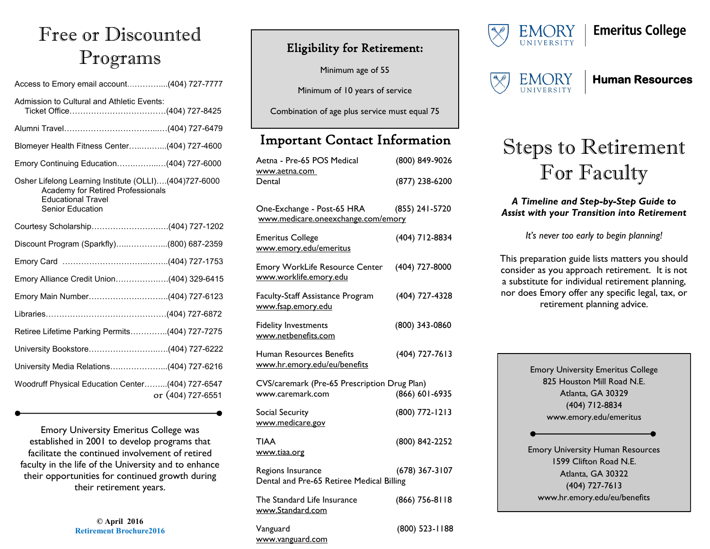## Free or Discounted Programs

| Access to Emory email account(404) 727-7777                                                                                                 |
|---------------------------------------------------------------------------------------------------------------------------------------------|
| Admission to Cultural and Athletic Events:                                                                                                  |
|                                                                                                                                             |
| Blomeyer Health Fitness Center(404) 727-4600                                                                                                |
| Emory Continuing Education(404) 727-6000                                                                                                    |
| Osher Lifelong Learning Institute (OLLI)(404)727-6000<br>Academy for Retired Professionals<br><b>Educational Travel</b><br>Senior Education |
|                                                                                                                                             |
| Discount Program (Sparkfly)(800) 687-2359                                                                                                   |
|                                                                                                                                             |
| Emory Alliance Credit Union(404) 329-6415                                                                                                   |
| Emory Main Number(404) 727-6123                                                                                                             |
|                                                                                                                                             |
| Retiree Lifetime Parking Permits(404) 727-7275                                                                                              |
|                                                                                                                                             |
| University Media Relations(404) 727-6216                                                                                                    |
| Woodruff Physical Education Center(404) 727-6547<br>or (404) 727-6551                                                                       |

Emory University Emeritus College was established in 2001 to develop programs that facilitate the continued involvement of retired faculty in the life of the University and to enhance their opportunities for continued growth during their retirement years.

> **© April 2016 Retirement Brochure2016**

### Eligibility for Retirement:

Minimum age of 55

Minimum of 10 years of service

Combination of age plus service must equal 75

## Important Contact Information

| Aetna - Pre-65 POS Medical<br>www.aetna.com<br>Dental            | (800) 849-9026 |  |
|------------------------------------------------------------------|----------------|--|
|                                                                  | (877) 238-6200 |  |
| One-Exchange - Post-65 HRA<br>www.medicare.oneexchange.com/emory | (855) 241-5720 |  |
| <b>Emeritus College</b><br>www.emory.edu/emeritus                | (404) 712-8834 |  |
| <b>Emory WorkLife Resource Center</b><br>www.worklife.emory.edu  | (404) 727-8000 |  |
| Faculty-Staff Assistance Program<br>www.fsap.emory.edu           | (404) 727-4328 |  |
| <b>Fidelity Investments</b><br>www.netbenefits.com               | (800) 343-0860 |  |
| <b>Human Resources Benefits</b><br>www.hr.emory.edu/eu/benefits  | (404) 727-7613 |  |
| CVS/caremark (Pre-65 Prescription Drug Plan)                     |                |  |
| www.caremark.com                                                 | (866) 601-6935 |  |
| Social Security<br>www.medicare.gov                              | (800) 772-1213 |  |
| <b>TIAA</b><br>www.tiaa.org                                      | (800) 842-2252 |  |
| Regions Insurance<br>Dental and Pre-65 Retiree Medical Billing   | (678) 367-3107 |  |
| The Standard Life Insurance<br>www.Standard.com                  | (866) 756-8118 |  |
| Vanguard<br>www.vanguard.com                                     | (800) 523-1188 |  |



## **Emeritus College**



### **Human Resources**

# Steps to Retirement For Faculty

#### *A Timeline and Step-by-Step Guide to Assist with your Transition into Retirement*

*It's never too early to begin planning!*

This preparation guide lists matters you should consider as you approach retirement. It is not a substitute for individual retirement planning, nor does Emory offer any specific legal, tax, or retirement planning advice.

Emory University Emeritus College 825 Houston Mill Road N.E. Atlanta, GA 30329 (404) 712-8834 www.emory.edu/emeritus Emory University Human Resources 1599 Clifton Road N.E. Atlanta, GA 30322 (404) 727-7613 www.hr.emory.edu/eu/benefits